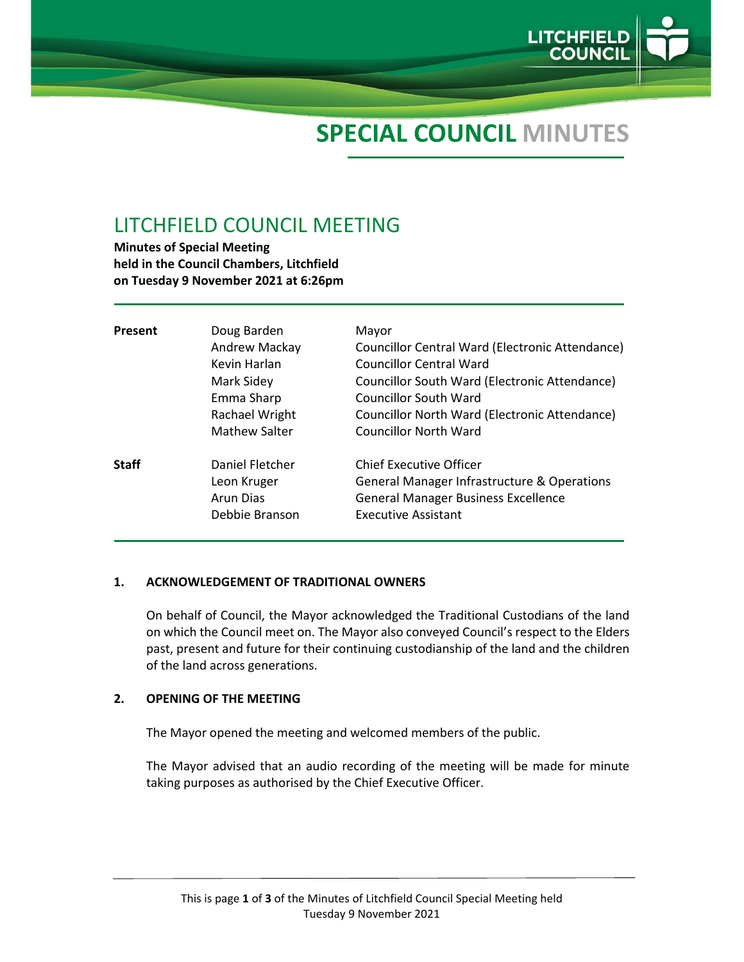

# **SPECIAL COUNCIL MINUTES**

# LITCHFIELD COUNCIL MEETING

**Minutes of Special Meeting held in the Council Chambers, Litchfield on Tuesday 9 November 2021 at 6:26pm**

| Present      | Doug Barden<br>Andrew Mackay<br>Kevin Harlan<br>Mark Sidey<br>Emma Sharp<br>Rachael Wright<br>Mathew Salter | Mayor<br>Councillor Central Ward (Electronic Attendance)<br>Councillor Central Ward<br>Councillor South Ward (Electronic Attendance)<br><b>Councillor South Ward</b><br>Councillor North Ward (Electronic Attendance)<br>Councillor North Ward |
|--------------|-------------------------------------------------------------------------------------------------------------|------------------------------------------------------------------------------------------------------------------------------------------------------------------------------------------------------------------------------------------------|
| <b>Staff</b> | Daniel Fletcher<br>Leon Kruger<br>Arun Dias<br>Debbie Branson                                               | <b>Chief Executive Officer</b><br>General Manager Infrastructure & Operations<br><b>General Manager Business Excellence</b><br><b>Executive Assistant</b>                                                                                      |

#### **1. ACKNOWLEDGEMENT OF TRADITIONAL OWNERS**

On behalf of Council, the Mayor acknowledged the Traditional Custodians of the land on which the Council meet on. The Mayor also conveyed Council's respect to the Elders past, present and future for their continuing custodianship of the land and the children of the land across generations.

#### **2. OPENING OF THE MEETING**

The Mayor opened the meeting and welcomed members of the public.

The Mayor advised that an audio recording of the meeting will be made for minute taking purposes as authorised by the Chief Executive Officer.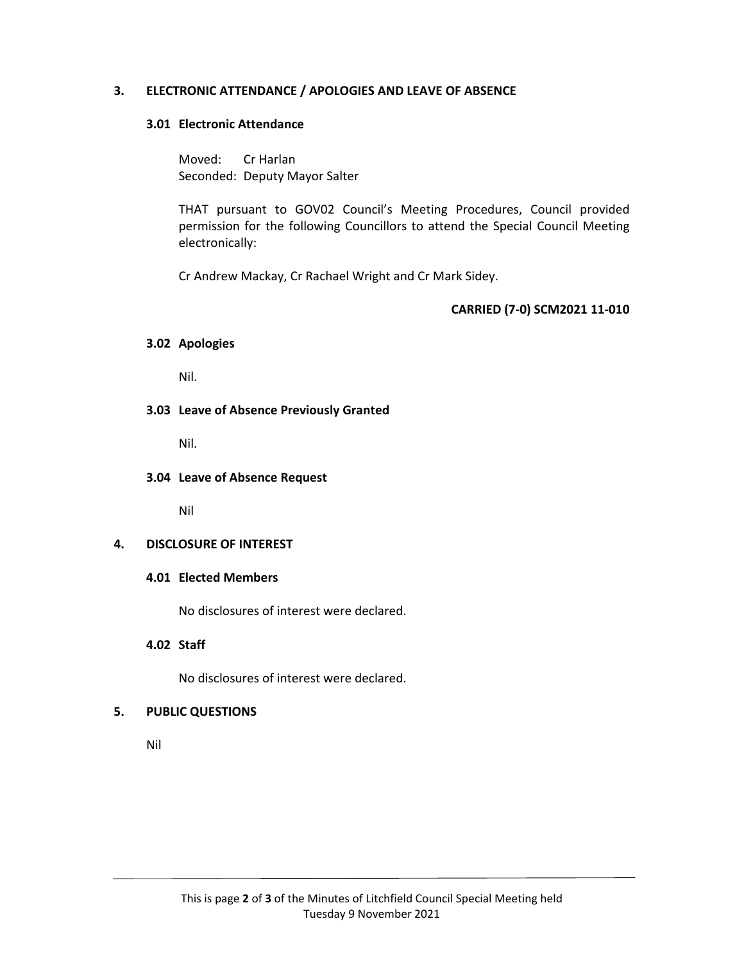### **3. ELECTRONIC ATTENDANCE / APOLOGIES AND LEAVE OF ABSENCE**

#### **3.01 Electronic Attendance**

Moved: Cr Harlan Seconded: Deputy Mayor Salter

THAT pursuant to GOV02 Council's Meeting Procedures, Council provided permission for the following Councillors to attend the Special Council Meeting electronically:

Cr Andrew Mackay, Cr Rachael Wright and Cr Mark Sidey.

#### **CARRIED (7‐0) SCM2021 11‐010**

#### **3.02 Apologies**

Nil.

#### **3.03 Leave of Absence Previously Granted**

Nil.

#### **3.04 Leave of Absence Request**

Nil

#### **4. DISCLOSURE OF INTEREST**

#### **4.01 Elected Members**

No disclosures of interest were declared.

#### **4.02 Staff**

No disclosures of interest were declared.

#### **5. PUBLIC QUESTIONS**

Nil